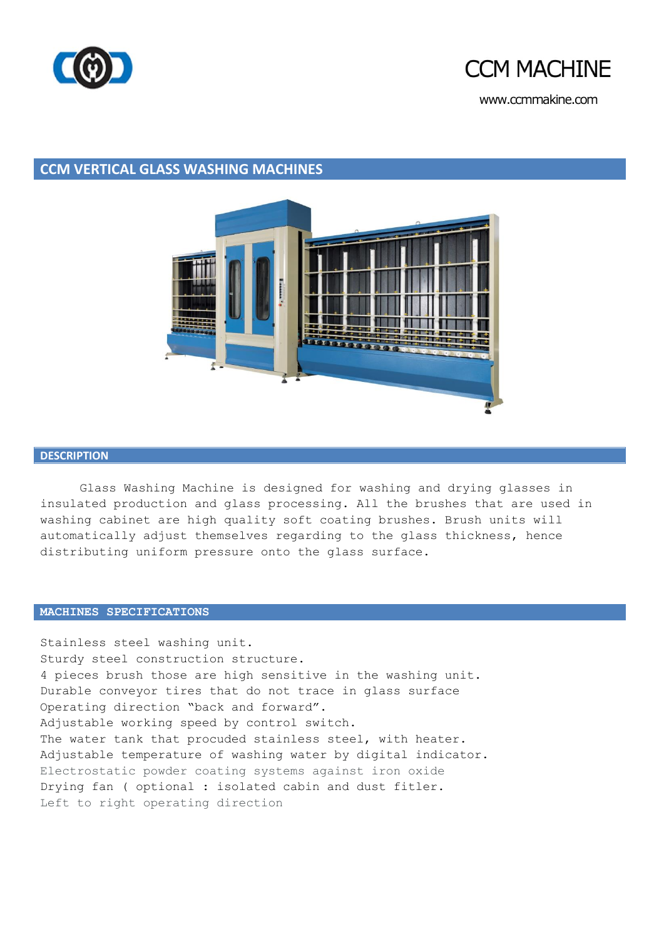



www.ccmmakine.com

# **CCM VERTICAL GLASS WASHING MACHINES**



### **DESCRIPTION**

Glass Washing Machine is designed for washing and drying glasses in insulated production and glass processing. All the brushes that are used in washing cabinet are high quality soft coating brushes. Brush units will automatically adjust themselves regarding to the glass thickness, hence distributing uniform pressure onto the glass surface.

## **MACHINES SPECIFICATIONS**

Stainless steel washing unit. Sturdy steel construction structure. 4 pieces brush those are high sensitive in the washing unit. Durable conveyor tires that do not trace in glass surface Operating direction "back and forward". Adjustable working speed by control switch. The water tank that procuded stainless steel, with heater. Adjustable temperature of washing water by digital indicator. Electrostatic powder coating systems against iron oxide Drying fan ( optional : isolated cabin and dust fitler. Left to right operating direction